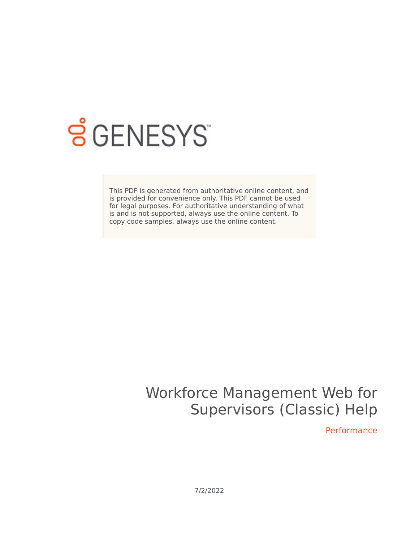

## **SGENESYS**

This PDF is generated from authoritative online content, and is provided for convenience only. This PDF cannot be used for legal purposes. For authoritative understanding of what is and is not supported, always use the online content. To copy code samples, always use the online content.

## Workforce Management Web for Supervisors (Classic) Help

Performance

7/2/2022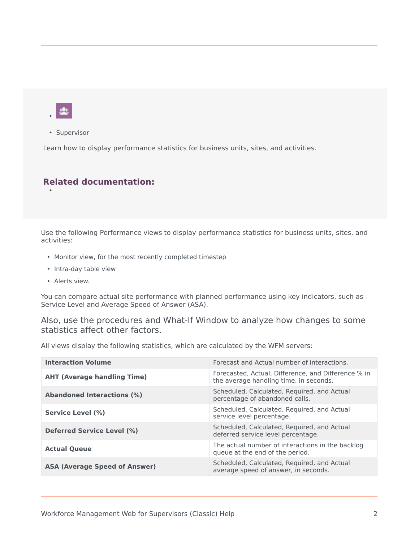

•

• Supervisor

Learn how to display performance statistics for business units, sites, and activities.

## **Related documentation:**

Use the following Performance views to display performance statistics for business units, sites, and activities:

- Monitor view, for the most recently completed timestep
- Intra-day table view
- Alerts view.

You can compare actual site performance with planned performance using key indicators, such as Service Level and Average Speed of Answer (ASA).

Also, use the procedures and What-If Window to analyze how changes to some statistics affect other factors.

All views display the following statistics, which are calculated by the WFM servers:

| <b>Interaction Volume</b>            | Forecast and Actual number of interactions.                                                   |
|--------------------------------------|-----------------------------------------------------------------------------------------------|
| <b>AHT (Average handling Time)</b>   | Forecasted, Actual, Difference, and Difference % in<br>the average handling time, in seconds. |
| <b>Abandoned Interactions (%)</b>    | Scheduled, Calculated, Reguired, and Actual<br>percentage of abandoned calls.                 |
| Service Level (%)                    | Scheduled, Calculated, Required, and Actual<br>service level percentage.                      |
| <b>Deferred Service Level (%)</b>    | Scheduled, Calculated, Reguired, and Actual<br>deferred service level percentage.             |
| <b>Actual Queue</b>                  | The actual number of interactions in the backlog<br>queue at the end of the period.           |
| <b>ASA (Average Speed of Answer)</b> | Scheduled, Calculated, Required, and Actual<br>average speed of answer, in seconds.           |